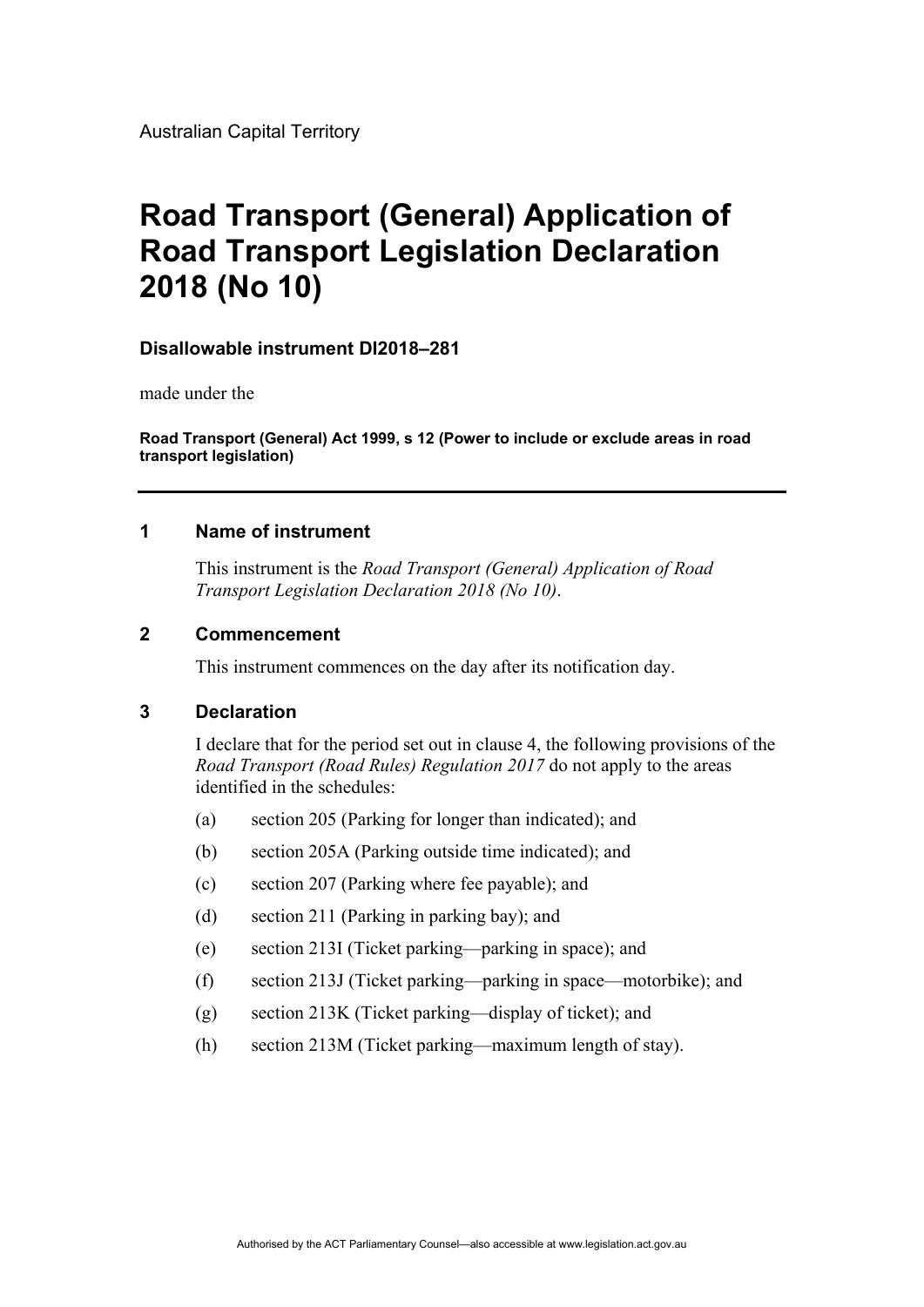# **Road Transport (General) Application of Road Transport Legislation Declaration 2018 (No 10)**

### **Disallowable instrument DI2018–281**

made under the

**Road Transport (General) Act 1999, s 12 (Power to include or exclude areas in road transport legislation)**

## **1 Name of instrument**

This instrument is the *Road Transport (General) Application of Road Transport Legislation Declaration 2018 (No 10)*.

### **2 Commencement**

This instrument commences on the day after its notification day.

### **3 Declaration**

I declare that for the period set out in clause 4, the following provisions of the *Road Transport (Road Rules) Regulation 2017* do not apply to the areas identified in the schedules:

- (a) section 205 (Parking for longer than indicated); and
- (b) section 205A (Parking outside time indicated); and
- (c) section 207 (Parking where fee payable); and
- (d) section 211 (Parking in parking bay); and
- (e) section 213I (Ticket parking—parking in space); and
- (f) section 213J (Ticket parking—parking in space—motorbike); and
- (g) section 213K (Ticket parking—display of ticket); and
- (h) section 213M (Ticket parking—maximum length of stay).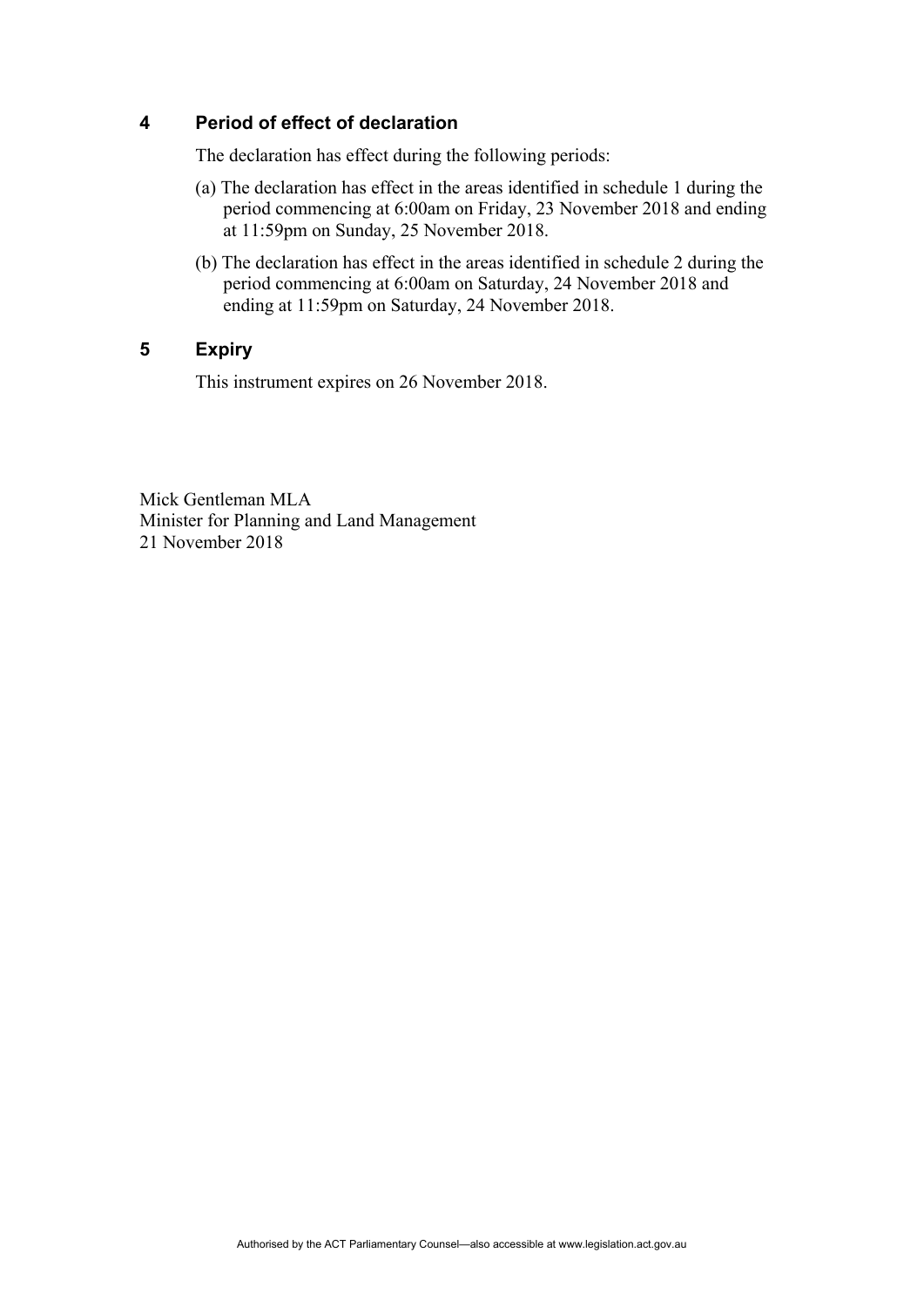## **4 Period of effect of declaration**

The declaration has effect during the following periods:

- (a) The declaration has effect in the areas identified in schedule 1 during the period commencing at 6:00am on Friday, 23 November 2018 and ending at 11:59pm on Sunday, 25 November 2018.
- (b) The declaration has effect in the areas identified in schedule 2 during the period commencing at 6:00am on Saturday, 24 November 2018 and ending at 11:59pm on Saturday, 24 November 2018.

# **5 Expiry**

This instrument expires on 26 November 2018.

Mick Gentleman MLA Minister for Planning and Land Management 21 November 2018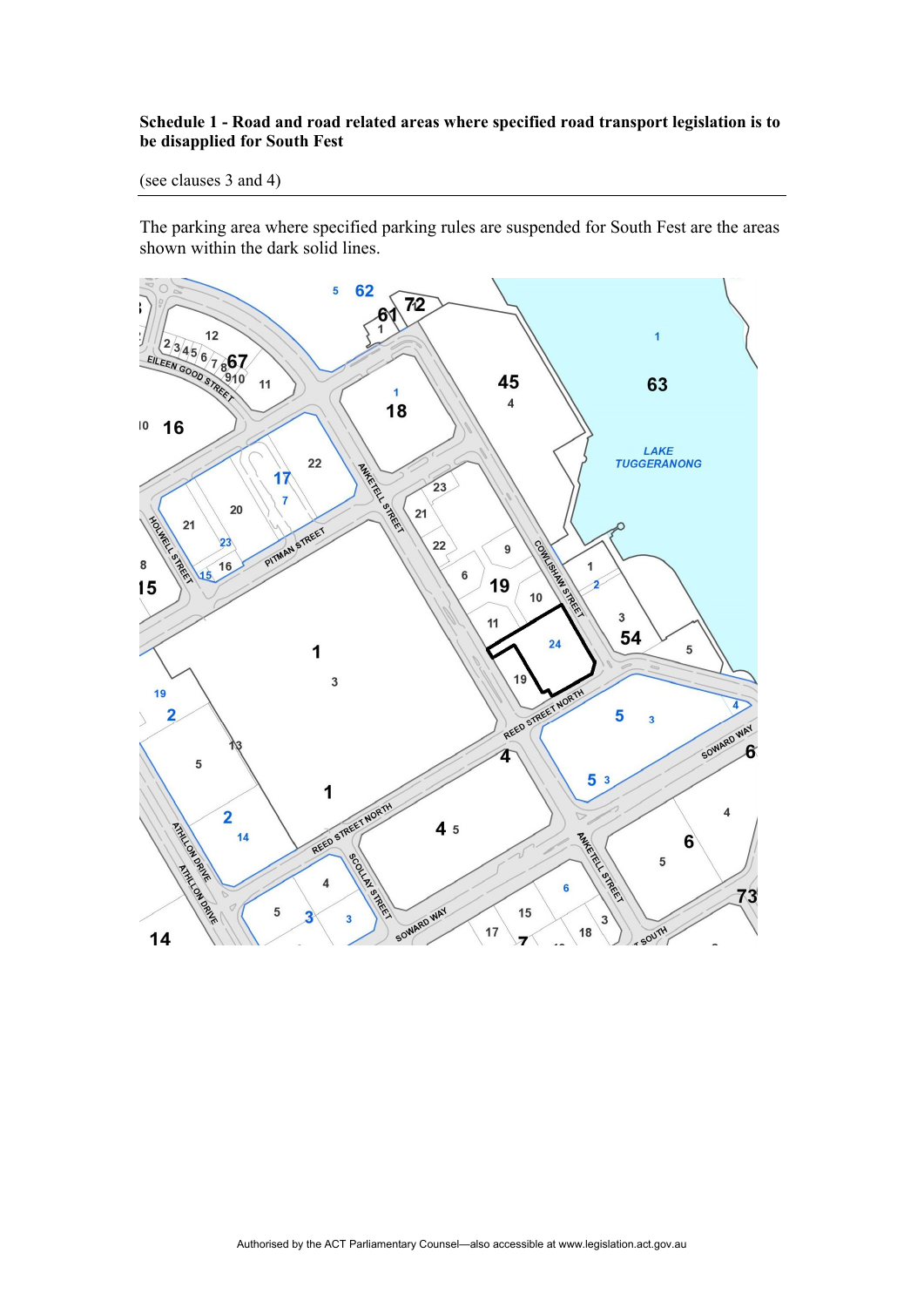#### **Schedule 1 - Road and road related areas where specified road transport legislation is to be disapplied for South Fest**

(see clauses 3 and 4)

The parking area where specified parking rules are suspended for South Fest are the areas shown within the dark solid lines.